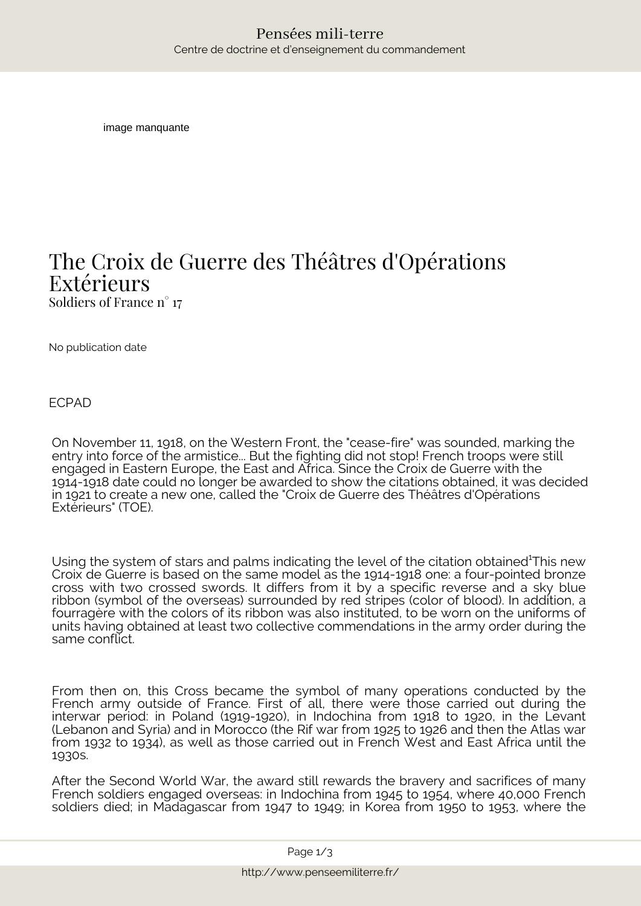image manquante

## *The Croix de Guerre des Théâtres d'Opérations Extérieurs Soldiers of France n° 17*

No publication date

ECPAD

 $\begin{tabular}{ll} \textbf{P} \textbf{en } \textbf{S} & \textbf{P} \textbf{en } \textbf{S} & \textbf{P} \textbf{en } \textbf{S} & \textbf{P} \textbf{en } \textbf{S} \\ & \textbf{P} \textbf{en } \textbf{S} & \textbf{P} \textbf{en } \textbf{S} & \textbf{P} \textbf{en } \textbf{S} & \textbf{P} \textbf{en } \textbf{S} & \textbf{P} \textbf{en} \textbf{on} \textbf{S} \\ & \textbf{P} \textbf{en } \textbf{S} & \textbf{P} \textbf{en } \text$ On November 11, 1918, on the Western Front, the "cease-fire" was sounded, marking the entry into force of the armistice... But the fighting did not stop! French troops were still engaged in Eastern Europe, the East and Africa. Since the Croix de Guerre with the 1914-1918 date could no longer be awarded to show the citations obtained, it was decided in 1921 to create a new one, called the "Croix de Guerre des Théâtres d'Opérations Extérieurs" (TOE).

Using the system of stars and palms indicating the level of the citation obtained<sup>1</sup>This new Croix de Guerre is based on the same model as the 1914-1918 one: a four-pointed bronze cross with two crossed swords. It differs from it by a specific reverse and a sky blue ribbon (symbol of the overseas) surrounded by red stripes (color of blood). In addition, a fourragère with the colors of its ribbon was also instituted, to be worn on the uniforms of units having obtained at least two collective commendations in the army order during the same conflict.

From then on, this Cross became the symbol of many operations conducted by the French army outside of France. First of all, there were those carried out during the interwar period: in Poland (1919-1920), in Indochina from 1918 to 1920, in the Levant (Lebanon and Syria) and in Morocco (the Rif war from 1925 to 1926 and then the Atlas war from 1932 to 1934), as well as those carried out in French West and East Africa until the 1930s.

After the Second World War, the award still rewards the bravery and sacrifices of many French soldiers engaged overseas: in Indochina from 1945 to 1954, where 40,000 French soldiers died; in Madagascar from 1947 to 1949; in Korea from 1950 to 1953, where the

 *Page 1/3*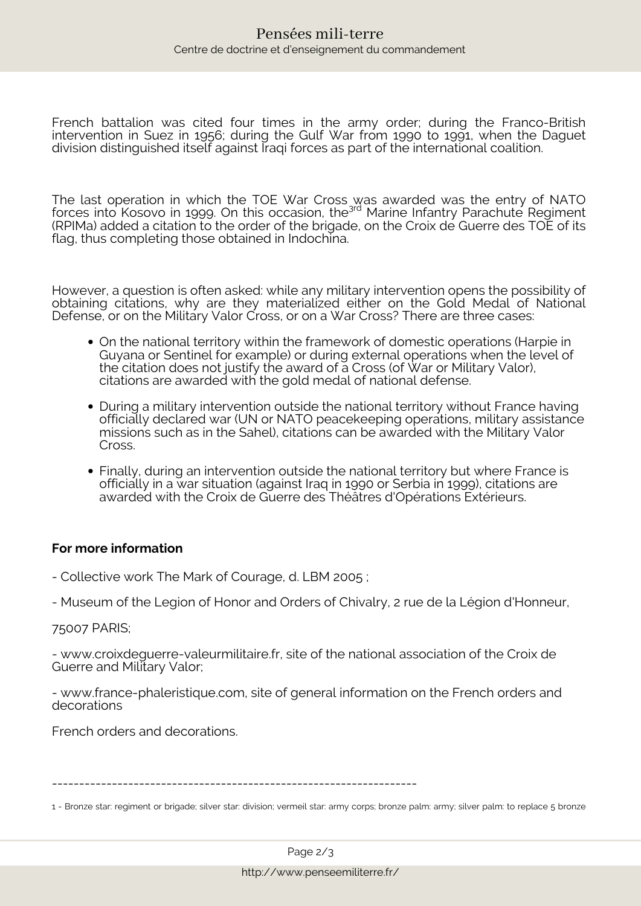French battalion was cited four times in the army order; during the Franco-British intervention in Suez in 1956; during the Gulf War from 1990 to 1991, when the Daguet division distinguished itself against Iraqi forces as part of the international coalition.

The last operation in which the TOE War Cross was awarded was the entry of NATO forces into Kosovo in 1999. On this occasion, the<sup>3rd</sup> Marine Infantry Parachute Regiment (RPIMa) added a citation to the order of the brigade, on the Croix de Guerre des TOE of its flag, thus completing those obtained in Indochina.

However, a question is often asked: while any military intervention opens the possibility of obtaining citations, why are they materialized either on the Gold Medal of National Defense, or on the Military Valor Cross, or on a War Cross? There are three cases:

- On the national territory within the framework of domestic operations (*Harpie* in Guyana or *Sentinel* for example) or during external operations when the level of the citation does not justify the award of a Cross (of War or Military Valor), citations are awarded with the gold medal of national defense.
- During a military intervention outside the national territory without France having officially declared war (UN or NATO peacekeeping operations, military assistance missions such as in the Sahel), citations can be awarded with the Military Valor Cross.
- Finally, during an intervention outside the national territory but where France is officially in a war situation (against Iraq in 1990 or Serbia in 1999), citations are awarded with the Croix de Guerre des Théâtres d'Opérations Extérieurs.

## **For more information**

- Collective work The Mark of Courage, d. LBM 2005 ;

- Museum of the Legion of Honor and Orders of Chivalry, 2 rue de la Légion d'Honneur,

## 75007 PARIS;

- www.croixdeguerre-valeurmilitaire.fr, site of the national association of the Croix de Guerre and Military Valor;

- www.france-phaleristique.com, site of general information on the French orders and decorations

French orders and decorations.

-------------------------------------------------------------------

<sup>1 -</sup> Bronze star: regiment or brigade; silver star: division; vermeil star: army corps; bronze palm: army; silver palm: to replace 5 bronze